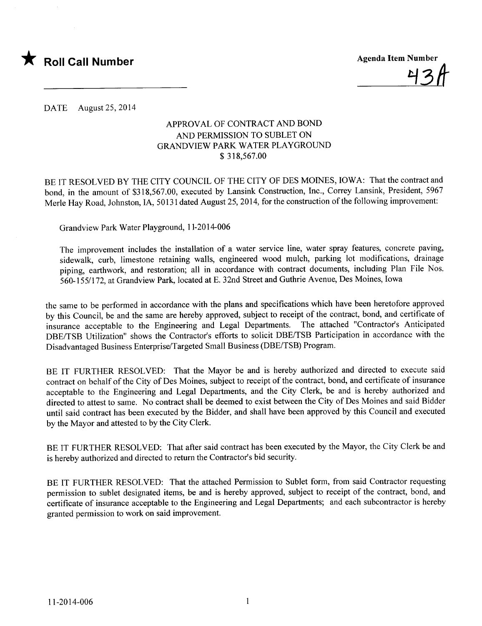

<u>43H</u>

DATE August 25,2014

### APPROVAL OF CONTRACT AND BOND AND PERMISSION TO SUBLET ON GRANDVIEW PARK WATER PLAYGROUND \$ 318,567.00

BE IT RESOLVED BY THE CITY COUNCIL OF THE CITY OF DES MOINES, IOWA: That the contract and bond, in the amount of \$318,567.00, executed by Lansink Construction, Inc., Correy Lansink, President, 5967 Merle Hay Road, Johnston, IA, 50131 dated August 25, 2014, for the construction of the following improvement:

Grandview Park Water Playground, 11-2014-006

The improvement includes the installation of a water service line, water spray features, concrete paving, sidewalk, curb, limestone retaining walls, engineered wood mulch, parking lot modifications, drainage piping, earthwork, and restoration; all in accordance with contract documents, including Plan File Nos. 560-155/172, at Grandview Park, located at E. 32nd Street and Guthrie Avenue, Des Moines, Iowa

the same to be performed in accordance with the plans and specifications which have been heretofore approved by this Council, be and the same are hereby approved, subject to receipt of the contract, bond, and certificate of insurance acceptable to the Engineering and Legal Departments. The attached "Contractor's Anticipated DBE/TSB Utilization" shows the Contractor's efforts to solicit DBE/TSB Participation in accordance with the Disadvantaged Business Enterprise/Targeted Small Business (DBE/TSB) Program.

BE IT FURTHER RESOLVED: That the Mayor be and is hereby authorized and directed to execute said contract on behalf of the City of Des Moines, subject to receipt of the contract, bond, and certificate of insurance acceptable to the Engineering and Legal Departments, and the City Clerk, be and is hereby authorized and directed to attest to same. No contract shall be deemed to exist between the City of Des Moines and said Bidder until said contract has been executed by the Bidder, and shall have been approved by this Council and executed by the Mayor and attested to by the City Clerk.

BE IT FURTHER RESOLVED: That after said contract has been executed by the Mayor, the City Clerk be and is hereby authorized and directed to return the Contractor's bid security.

BE IT FURTHER RESOLVED: That the attached Permission to Sublet form, from said Contractor requesting permission to sublet designated items, be and is hereby approved, subject to receipt of the contract, bond, and certificate of insurance acceptable to the Engineering and Legal Departments; and each subcontractor is hereby granted permission to work on said improvement.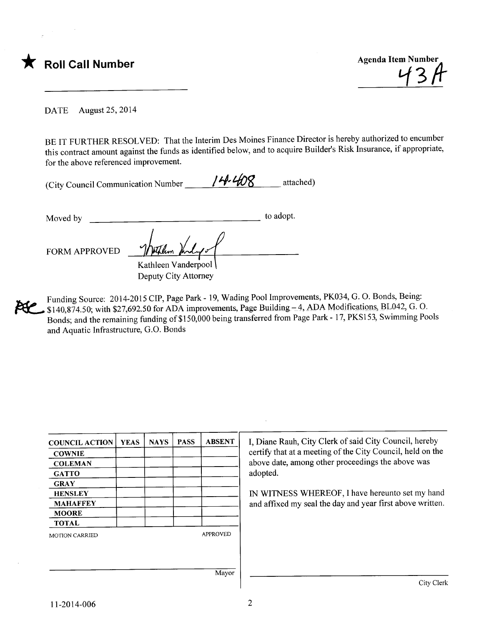

vt3fr

DATE August 25, 2014

BE IT FURTHER RESOLVED: That the Interim Des Moines Finance Director is hereby authorized to encumber this contract amount against the funds as identified below, and to acquire Builder's Risk Insurance, if appropriate, for the above referenced improvement.

| (City Council Communication Number _ | 14.408 | attached) |
|--------------------------------------|--------|-----------|
|--------------------------------------|--------|-----------|

Moved by to adopt. FORM APPROVED Kathleen Vanderpool

Deputy City Attorney

Funding Source: 2014-2015 CIP, Page Park - 19, Wading Pool Improvements, PK034, G. O. Bonds, Being:  $$140,874.50$ ; with \$27,692.50 for ADA improvements, Page Building -4, ADA Modifications, BL042, G. O. Bonds; and the remaining funding of\$150,000 being transferred from Page Park - 17, PKS153, Swimming Pools and Aquatic Infrastructure, G.O. Bonds

| <b>COUNCIL ACTION</b> | <b>YEAS</b> | <b>NAYS</b> | <b>PASS</b> | <b>ABSENT</b>   | I, Diane Rauh, City Clerk of said City Council, hereby<br>certify that at a meeting of the City Council, held on the |
|-----------------------|-------------|-------------|-------------|-----------------|----------------------------------------------------------------------------------------------------------------------|
| <b>COWNIE</b>         |             |             |             |                 |                                                                                                                      |
| <b>COLEMAN</b>        |             |             |             |                 | above date, among other proceedings the above was                                                                    |
| <b>GATTO</b>          |             |             |             |                 | adopted.                                                                                                             |
| <b>GRAY</b>           |             |             |             |                 |                                                                                                                      |
| <b>HENSLEY</b>        |             |             |             |                 | IN WITNESS WHEREOF, I have hereunto set my hand                                                                      |
| <b>MAHAFFEY</b>       |             |             |             |                 | and affixed my seal the day and year first above written.                                                            |
| <b>MOORE</b>          |             |             |             |                 |                                                                                                                      |
| <b>TOTAL</b>          |             |             |             |                 |                                                                                                                      |
| <b>MOTION CARRIED</b> |             |             |             | <b>APPROVED</b> |                                                                                                                      |
|                       |             |             |             |                 |                                                                                                                      |
|                       |             |             |             |                 |                                                                                                                      |
|                       |             |             |             |                 |                                                                                                                      |
|                       |             |             |             | Mayor           |                                                                                                                      |
|                       |             |             |             |                 | City Clerk                                                                                                           |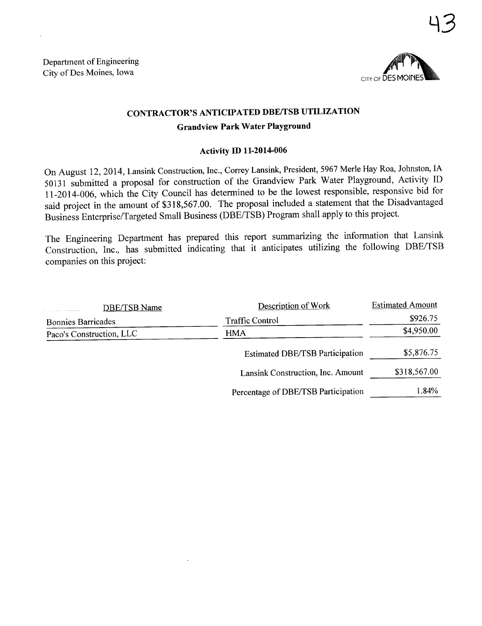

43

## CONTRACTOR'S ANTICIPATED DBE/TSB UTILIZATION

#### Grandview Park Water Playground

#### Activity ID 11-2014-006

On August 12,2014, Lansink Construction, Inc., Correy Lansink, President, 5967 Merle Hay Roa, Johnston, IA 50131 submitted a proposal for construction of the Grandview Park Water Playground, Activity ID 11-2014-006, which the City Council has determined to be the lowest responsible, responsive bid for said project in the amount of \$318,567.00. The proposal included a statement that the Disadvantaged Business Enterprise/Targeted Small Business (DBE/TSB) Program shall apply to this project.

The Engineering Deparment has prepared this report summarizing the information that Lansink Construction, Inc., has submitted indicating that it anticipates utilizing the following DBE/TSB companies on this project:

| <b>DBE/TSB Name</b>       | Description of Work                    | <b>Estimated Amount</b> |  |
|---------------------------|----------------------------------------|-------------------------|--|
| <b>Bonnies Barricades</b> | <b>Traffic Control</b>                 | \$926.75                |  |
| Paco's Construction, LLC  | <b>HMA</b>                             | \$4,950.00              |  |
|                           | <b>Estimated DBE/TSB Participation</b> | \$5,876.75              |  |
|                           | Lansink Construction, Inc. Amount      | \$318,567.00            |  |
|                           | Percentage of DBE/TSB Participation    | 1.84%                   |  |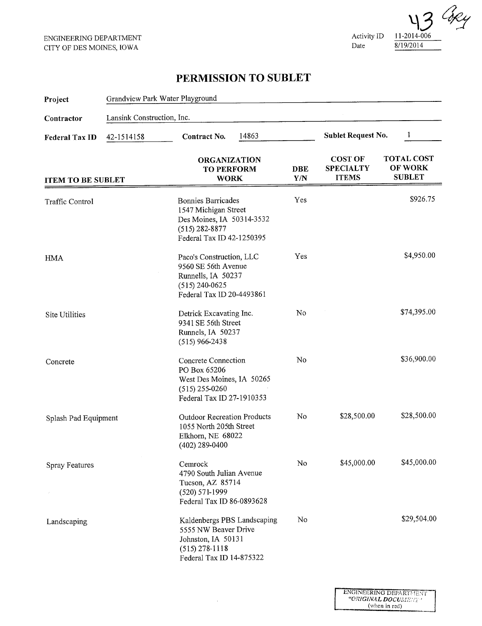Activity ID Date  $\mathcal{C}_{\!\mathscr{K}\!\mathscr{L}}$ 11-2014-006 8/I 9/20 I 4

# PERMISSION TO SUBLET

| Project                                                         | Grandview Park Water Playground |                                                                                                                                   |                                           |                                                    |                                               |  |
|-----------------------------------------------------------------|---------------------------------|-----------------------------------------------------------------------------------------------------------------------------------|-------------------------------------------|----------------------------------------------------|-----------------------------------------------|--|
| Contractor                                                      | Lansink Construction, Inc.      |                                                                                                                                   |                                           |                                                    |                                               |  |
| 42-1514158<br><b>Federal Tax ID</b><br><b>ITEM TO BE SUBLET</b> |                                 | 14863<br>Contract No.                                                                                                             | <b>Sublet Request No.</b><br>$\mathbf{1}$ |                                                    |                                               |  |
|                                                                 |                                 | <b>ORGANIZATION</b><br><b>TO PERFORM</b><br><b>WORK</b>                                                                           | DBE<br>Y/N                                | <b>COST OF</b><br><b>SPECIALTY</b><br><b>ITEMS</b> | <b>TOTAL COST</b><br>OF WORK<br><b>SUBLET</b> |  |
| Traffic Control                                                 |                                 | <b>Bonnies Barricades</b><br>1547 Michigan Street<br>Des Moines, IA 50314-3532<br>$(515) 282 - 8877$<br>Federal Tax ID 42-1250395 | Yes                                       |                                                    | \$926.75                                      |  |
| <b>HMA</b>                                                      |                                 | Paco's Construction, LLC<br>9560 SE 56th Avenue<br>Runnells, IA 50237<br>$(515) 240 - 0625$<br>Federal Tax ID 20-4493861          | Yes                                       |                                                    | \$4,950.00                                    |  |
| Site Utilities                                                  |                                 | Detrick Excavating Inc.<br>9341 SE 56th Street<br>Runnels, IA 50237<br>$(515)$ 966-2438                                           | No                                        |                                                    | \$74,395.00                                   |  |
| Concrete                                                        |                                 | Concrete Connection<br>PO Box 65206<br>West Des Moines, IA 50265<br>$(515)$ 255-0260<br>Federal Tax ID 27-1910353                 | No                                        |                                                    | \$36,900.00                                   |  |
| Splash Pad Equipment                                            |                                 | <b>Outdoor Recreation Products</b><br>1055 North 205th Street<br>Elkhorn, NE 68022<br>$(402)$ 289-0400                            | No                                        | \$28,500.00                                        | \$28,500.00                                   |  |
| <b>Spray Features</b>                                           |                                 | Cemrock<br>4790 South Julian Avenue<br>Tucson, AZ 85714<br>$(520) 571-1999$<br>Federal Tax ID 86-0893628                          | No                                        | \$45,000.00                                        | \$45,000.00                                   |  |
| Landscaping                                                     |                                 | Kaldenbergs PBS Landscaping<br>5555 NW Beaver Drive<br>Johnston, IA 50131<br>$(515)$ 278-1118<br>Federal Tax ID 14-875322         | No                                        |                                                    | \$29,504.00                                   |  |

 $\epsilon$